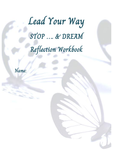# Lead Your Way STOP …. & DREAM Reflection Workbook

Name: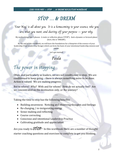### STOP … & DREAM

'Your Way' is all about you. It is a homecoming to your essence, who you are, what you want, and dusting off your purpose  $-$  your why.

My methodology has 2 phases: A static or reflective phase ('STOP'). And a dynamic or forward phase (here, this is 'DREAM').

By the end of this workbook, we will have the foundations for a blueprint of the essence of your leadership (Your Leadership Design) which can form the basis of your intentional leadership mission and career.

Let's get started!

#### Paula

### The power in stopping

Often, and particularly as leaders, we are not conditioned to stop. We are conditioned to keep going – there is always something more to be done. Action is valued. We are making progress.

But to where? Why? With and for whom? How do we actually feel? Are we concentrated on the destination only, or the journey?

Taking the time to stop has the following benefits:

• Building awareness: Noticing and observing thoughts and feelings

---

- Re-charging / re-invigorating energy
- Sense-making and reflecting
- Course correcting
- Conscious and intentional Leadership Practice
- Cultivating gratitude and appreciation

Are you ready to  $STOP$ ? In this workbook there are a number of thought starter coaching questions and exercises to complete to get you thinking.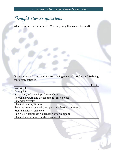### Thought starter questions

What is my current situation? (Write anything that comes to mind)

(Rate your satisfaction level 1 – 10 (1 being not at all satisfied and 10 being completely satisfied)

|                                                        | $1 - 10$ |
|--------------------------------------------------------|----------|
| Working life                                           |          |
| <b>Family life</b>                                     |          |
| Social life / relationships / friendships              |          |
| Personal growth and development / intellectual         |          |
| Financial / wealth                                     |          |
| Physical health / fitness                              |          |
| Service/voluntary work / supporting others / community |          |
| Mental health / resilience                             |          |
| Fun / joy / happiness / laughter / entertainment       |          |
| Physical surroundings and environment                  |          |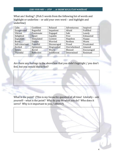What am I feeling? (Pick 5 words from the following list of words and highlight or underline – or add your own word – and highlight and underline)

| Calm           | Confident    | Relaxed     | Adventurous | Inspired   |
|----------------|--------------|-------------|-------------|------------|
| Exasperated    | Regretful    | Impatient   | Afraid      | Fulfilled  |
| Vibrant        | Passionate   | Engaged     | Safe        | Lonely     |
| Delighted      | Upset        | Capable     | Free        | Exhausted  |
| Expectant      | Stimulated   | Content     | Hopeless    | Happy      |
| <b>Brave</b>   | Unsure       | Worried     | Restless    | Warm       |
| Self-conscious | Peaceful     | Discouraged | Proud       | Frustrated |
| Excited        | Optimistic   | Disgruntled | Overwhelmed | Amazed     |
| Serene         | <b>Bored</b> | Weary       | Blessed     | Encouraged |
| Thankful       | Reflective   | Indifferent | Determined  | Resistant  |
|                |              |             |             |            |

Are there any feelings in the above box that you didn't highlight / you don't feel, but you would like to feel?

What is the point? (This is my favourite question of all time! Literally – ask yourself – what is the point? Why do you do what you do? Who does it serve? Why is it important to you / others?)

4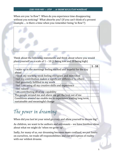When are you 'in flow'? When do you experience time disappearing without you noticing? What absorbs you? (If you can't think of a present example … is there a time when you remember being 'in flow'?)

Think about the following statements and think about where you would place yourself on a scale of  $1 - 10$  (1 being low and 10 being high)

| I wake up in the mornings feeling excited and hopeful for the day |  |
|-------------------------------------------------------------------|--|
| ahead                                                             |  |
| I finish my working week feeling energised and motivated          |  |
| I feel my contribution makes a significant difference to others   |  |
| I feel genuinely fulfilled in my work                             |  |
| I feel I am using all my creative skills and experience           |  |
| I feel valued                                                     |  |
| I am contributing all of my capability                            |  |
| The people around me and above me get the best out of me          |  |
| Conditions around me enable me to experience leading long term,   |  |
| sustainable and meaningful change                                 |  |

### The power in dreaming

When did you last let your mind go crazy and allow yourself to dream big?

As children, we want to be authors and astronauts – we have limitless ideas about what we might do 'when we grow up'.

Sadly, for many of us, our dreaming becomes more confined, we put limits on ourselves, we trade off responsibilities and our perception of reality with our wildest dreams.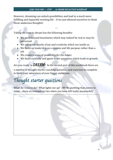However, dreaming can unlock possibilities and lead to a much more fulfilling and impactful working life – if we just allowed ourselves to think those audacious thoughts!

---

Taking the time to dream has the following benefits:

- We push beyond boundaries which may indeed be real or may be perceived.
- We can ignite sparks of joy and creativity which are inside us
- We build up leadership as a mission and life purpose rather than a job
- We create a sense of possibility for the future
- We build curiosity and ignite wider questions which leads to growth

Are you ready to  $\mathcal{D}\mathcal{R}\mathcal{F}\mathcal{A}\mathcal{M}$ ? In the second part of this workbook there are a number of thought starter coaching questions and exercises to complete to build your awareness of your bigger ambitions.

## Thought starter questions

What do I love to do? What lights me up? (Write anything that comes to mind – share an example or two when you have felt really purposeful)

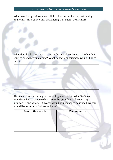What have I let go of from my childhood or my earlier life, that I enjoyed and found fun, creative, and challenging, that I don't do anymore?

What does leadership mean to me in the next 5, 10, 20 years? What do I want to spend my time doing? What impact / experiences would I like to have?

The leader I am becoming (or becoming more of …): What 3 – 5 words would you like to choose which **describe** your forward leadership approach? And what 3 – 5 words would you choose to describe how you would like **others to feel** around you?

| <b>Description words</b> | <b>Feeling words</b> |
|--------------------------|----------------------|
|                          |                      |
|                          |                      |
|                          |                      |
|                          |                      |
|                          |                      |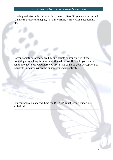Looking back (from the future): Fast forward 20 or 30 years – what would you like to achieve as a legacy in your working / professional leadership life?

Do you sometimes experience limiting beliefs or stop yourself from dreaming or reaching for your ambitious dreams? If so – do you have a sense of what holds you where you are? (This could be your perceptions of fear, risk, imposter syndrome or something else entirely)

Can you have a go at describing the DREAM? What is your audacious ambition?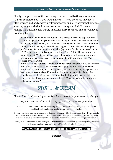Finally, complete one of the following creative visualisation exercises (or you can complete both if you would like to). These exercises may feel a little strange and odd and very different to your usual professional practice – just try to go with the flow and enter into the spirit of it! No one is judging the outcome; it is purely an exploratory resource on our journey to dreaming big!

- 1. **Create your vision or action board.** Take a large piece of A3 paper or card. Cut out images from magazines which speak to you – don't think too much about it – just any image which you find resonates with you and represents something about your future that you would like to happen. This can be just about your professional life, or about your whole life (e.g., work, family, home, travel, health …). You can complete this online e.g., using a PowerPoint slide and importing online images). Try to use images rather than words. To find out more about the principle and neuroscience of vision or action boards, you could read 'The Source' by Tara Swart.
- 2. **Write a letter to yourself … from your future self.** Imagine it is 20 or 30 years from now. What would your future self be saying to you? What would your future self be describing that has happened, what you achieved, how you led and lived your professional (and home) life. Try to write in detail and describe visually some of the elements rather than just listing experiences, activities, or achievements. How does your future self feel? What advice would your future self give to you now?

### STOP … & DREAM

'Your Way' is all about you. It is a homecoming to your essence, who you are, what you want, and dusting off your purpose - your why.

What has STOPPING and DREAMING opened up for you? I sincerely hope that you have found this workbook enlightening and helpful in your leadership practice.

If you would like to explore what you have discovered in the workbook some more, then why not book in for a session to debrief your thinking? Or enquire about scheduling an investment in yourself and some 'me time' to develop your thinking with a series of  $1 \times 1$  sessions or join an upcoming group session.

Leading YOUR WAY is for you and up to you. I would love to walk alongside you on that journey and help to inspire, challenge, and build your self-belief and leadership impact!

#### **www.vantagepointsconsulting.com/workwithme**

Paula